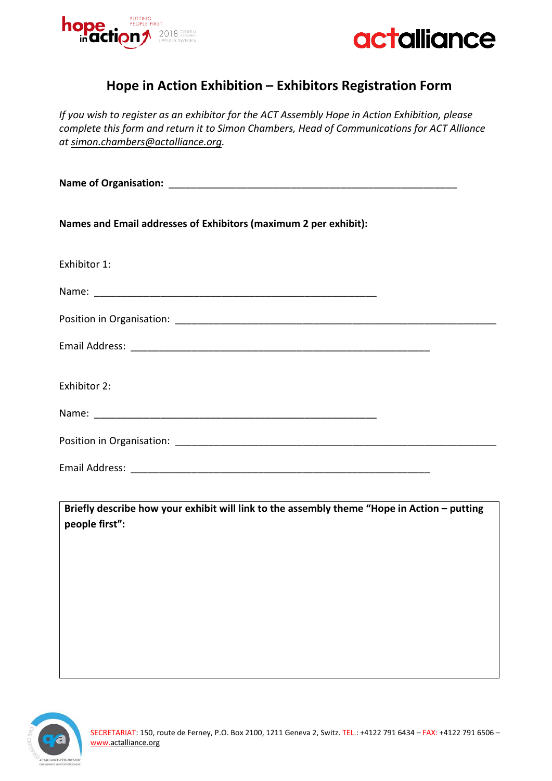



## **Hope in Action Exhibition – Exhibitors Registration Form**

*If you wish to register as an exhibitor for the ACT Assembly Hope in Action Exhibition, please complete this form and return it to Simon Chambers, Head of Communications for ACT Alliance at [simon.chambers@actalliance.org.](mailto:simon.chambers@actalliance.org)* 

| Names and Email addresses of Exhibitors (maximum 2 per exhibit): |  |  |  |  |
|------------------------------------------------------------------|--|--|--|--|
| Exhibitor 1:                                                     |  |  |  |  |
|                                                                  |  |  |  |  |
|                                                                  |  |  |  |  |
|                                                                  |  |  |  |  |
| Exhibitor 2:                                                     |  |  |  |  |
|                                                                  |  |  |  |  |
|                                                                  |  |  |  |  |
|                                                                  |  |  |  |  |

**Briefly describe how your exhibit will link to the assembly theme "Hope in Action – putting people first":**